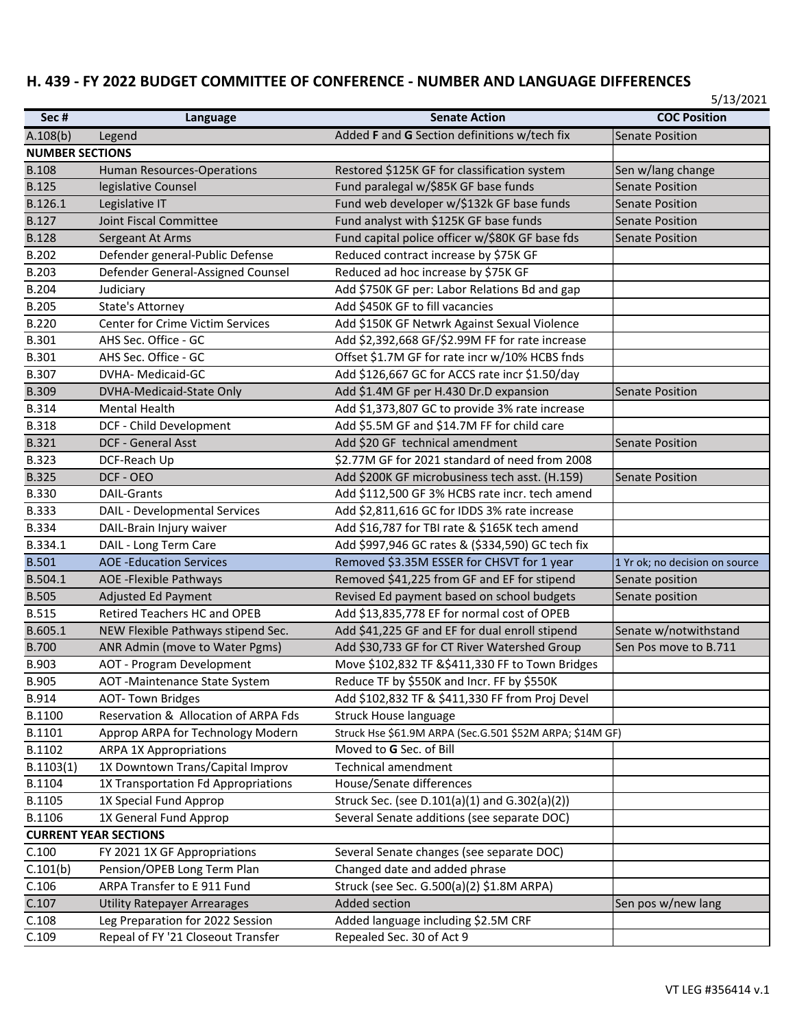## H. 439 - FY 2022 BUDGET COMMITTEE OF CONFERENCE - NUMBER AND LANGUAGE DIFFERENCES

| Sec#                         | Language                                                                | <b>Senate Action</b>                                                       | <b>COC Position</b>            |  |  |
|------------------------------|-------------------------------------------------------------------------|----------------------------------------------------------------------------|--------------------------------|--|--|
| A.108(b)                     | Legend                                                                  | Added F and G Section definitions w/tech fix                               | <b>Senate Position</b>         |  |  |
| <b>NUMBER SECTIONS</b>       |                                                                         |                                                                            |                                |  |  |
| <b>B.108</b>                 | Human Resources-Operations                                              | Restored \$125K GF for classification system                               | Sen w/lang change              |  |  |
| <b>B.125</b>                 | legislative Counsel                                                     | Fund paralegal w/\$85K GF base funds                                       | <b>Senate Position</b>         |  |  |
| B.126.1                      | Legislative IT                                                          | Fund web developer w/\$132k GF base funds                                  | <b>Senate Position</b>         |  |  |
| <b>B.127</b>                 | <b>Joint Fiscal Committee</b>                                           | Fund analyst with \$125K GF base funds                                     | <b>Senate Position</b>         |  |  |
| <b>B.128</b>                 | Sergeant At Arms                                                        | Fund capital police officer w/\$80K GF base fds                            | <b>Senate Position</b>         |  |  |
| <b>B.202</b>                 | Defender general-Public Defense                                         | Reduced contract increase by \$75K GF                                      |                                |  |  |
| B.203                        | Defender General-Assigned Counsel                                       | Reduced ad hoc increase by \$75K GF                                        |                                |  |  |
| <b>B.204</b>                 | Judiciary                                                               | Add \$750K GF per: Labor Relations Bd and gap                              |                                |  |  |
| <b>B.205</b>                 | <b>State's Attorney</b>                                                 | Add \$450K GF to fill vacancies                                            |                                |  |  |
| <b>B.220</b>                 | <b>Center for Crime Victim Services</b>                                 | Add \$150K GF Netwrk Against Sexual Violence                               |                                |  |  |
| <b>B.301</b>                 | AHS Sec. Office - GC                                                    | Add \$2,392,668 GF/\$2.99M FF for rate increase                            |                                |  |  |
| <b>B.301</b>                 | AHS Sec. Office - GC                                                    | Offset \$1.7M GF for rate incr w/10% HCBS fnds                             |                                |  |  |
| <b>B.307</b>                 | DVHA- Medicaid-GC                                                       | Add \$126,667 GC for ACCS rate incr \$1.50/day                             |                                |  |  |
| <b>B.309</b>                 | DVHA-Medicaid-State Only                                                | Add \$1.4M GF per H.430 Dr.D expansion                                     | <b>Senate Position</b>         |  |  |
| <b>B.314</b>                 | Mental Health                                                           | Add \$1,373,807 GC to provide 3% rate increase                             |                                |  |  |
| <b>B.318</b>                 | DCF - Child Development                                                 | Add \$5.5M GF and \$14.7M FF for child care                                |                                |  |  |
| <b>B.321</b>                 | DCF - General Asst                                                      | Add \$20 GF technical amendment                                            | <b>Senate Position</b>         |  |  |
| <b>B.323</b>                 | DCF-Reach Up                                                            | \$2.77M GF for 2021 standard of need from 2008                             |                                |  |  |
| <b>B.325</b>                 | DCF - OEO                                                               | Add \$200K GF microbusiness tech asst. (H.159)                             | <b>Senate Position</b>         |  |  |
| <b>B.330</b>                 | <b>DAIL-Grants</b>                                                      | Add \$112,500 GF 3% HCBS rate incr. tech amend                             |                                |  |  |
| <b>B.333</b>                 | DAIL - Developmental Services                                           | Add \$2,811,616 GC for IDDS 3% rate increase                               |                                |  |  |
| <b>B.334</b>                 | DAIL-Brain Injury waiver                                                | Add \$16,787 for TBI rate & \$165K tech amend                              |                                |  |  |
| B.334.1                      | DAIL - Long Term Care                                                   | Add \$997,946 GC rates & (\$334,590) GC tech fix                           |                                |  |  |
| <b>B.501</b>                 | <b>AOE -Education Services</b>                                          | Removed \$3.35M ESSER for CHSVT for 1 year                                 | 1 Yr ok; no decision on source |  |  |
| B.504.1                      | <b>AOE</b> - Flexible Pathways                                          | Removed \$41,225 from GF and EF for stipend                                | Senate position                |  |  |
| <b>B.505</b>                 | <b>Adjusted Ed Payment</b>                                              | Revised Ed payment based on school budgets                                 | Senate position                |  |  |
| <b>B.515</b>                 | Retired Teachers HC and OPEB                                            | Add \$13,835,778 EF for normal cost of OPEB                                |                                |  |  |
| B.605.1                      | NEW Flexible Pathways stipend Sec.                                      | Add \$41,225 GF and EF for dual enroll stipend                             | Senate w/notwithstand          |  |  |
| <b>B.700</b>                 | ANR Admin (move to Water Pgms)                                          | Add \$30,733 GF for CT River Watershed Group                               | Sen Pos move to B.711          |  |  |
| B.903                        | <b>AOT - Program Development</b>                                        | Move \$102,832 TF & \$411,330 FF to Town Bridges                           |                                |  |  |
| <b>B.905</b>                 | AOT -Maintenance State System                                           | Reduce TF by \$550K and Incr. FF by \$550K                                 |                                |  |  |
| B.914                        | <b>AOT-Town Bridges</b>                                                 | Add \$102,832 TF & \$411,330 FF from Proj Devel                            |                                |  |  |
| B.1100                       | Reservation & Allocation of ARPA Fds                                    | <b>Struck House language</b>                                               |                                |  |  |
| B.1101                       | Approp ARPA for Technology Modern                                       | Struck Hse \$61.9M ARPA (Sec.G.501 \$52M ARPA; \$14M GF)                   |                                |  |  |
| B.1102                       | <b>ARPA 1X Appropriations</b>                                           | Moved to G Sec. of Bill                                                    |                                |  |  |
| B.1103(1)                    | 1X Downtown Trans/Capital Improv                                        | Technical amendment                                                        |                                |  |  |
| B.1104                       | 1X Transportation Fd Appropriations                                     | House/Senate differences                                                   |                                |  |  |
| B.1105                       | 1X Special Fund Approp                                                  | Struck Sec. (see D.101(a)(1) and G.302(a)(2))                              |                                |  |  |
| B.1106                       | 1X General Fund Approp                                                  | Several Senate additions (see separate DOC)                                |                                |  |  |
| <b>CURRENT YEAR SECTIONS</b> |                                                                         |                                                                            |                                |  |  |
| C.100<br>C.101(b)            | FY 2021 1X GF Appropriations<br>Pension/OPEB Long Term Plan             | Several Senate changes (see separate DOC)<br>Changed date and added phrase |                                |  |  |
| C.106                        | ARPA Transfer to E 911 Fund                                             |                                                                            |                                |  |  |
| C.107                        |                                                                         | Struck (see Sec. G.500(a)(2) \$1.8M ARPA)<br><b>Added section</b>          | Sen pos w/new lang             |  |  |
| C.108                        | <b>Utility Ratepayer Arrearages</b><br>Leg Preparation for 2022 Session | Added language including \$2.5M CRF                                        |                                |  |  |
|                              |                                                                         |                                                                            |                                |  |  |
| C.109                        | Repeal of FY '21 Closeout Transfer                                      | Repealed Sec. 30 of Act 9                                                  |                                |  |  |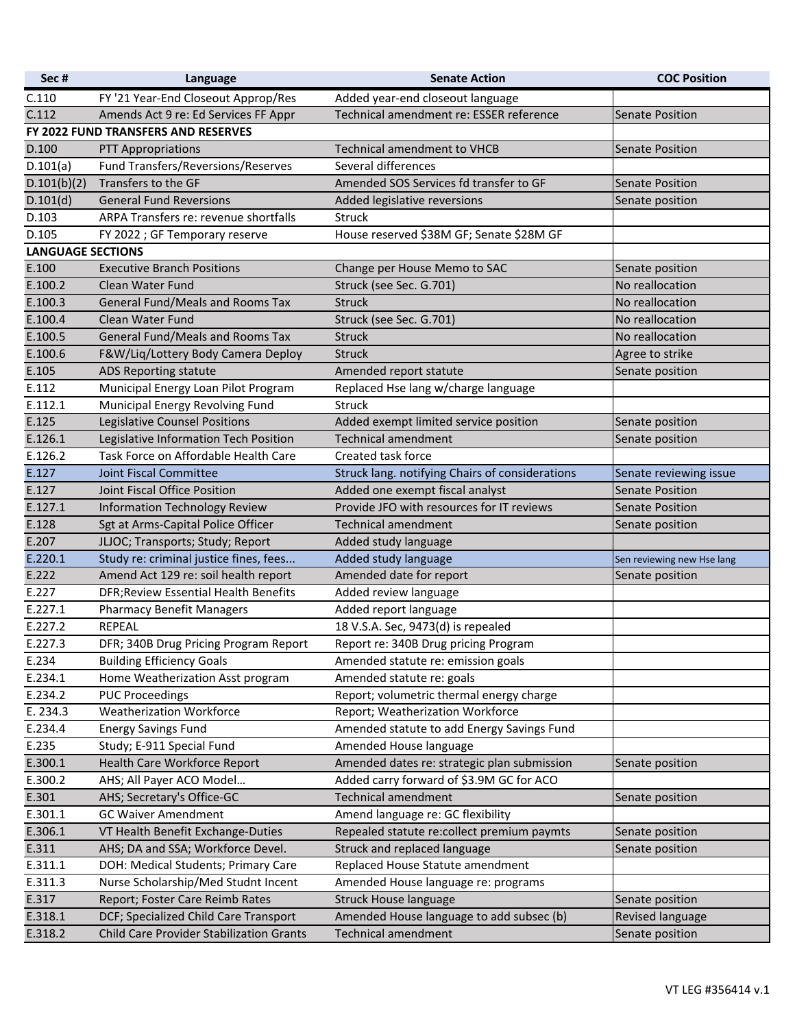| Sec#                                | Language                                 | <b>Senate Action</b>                            | <b>COC Position</b>        |  |  |
|-------------------------------------|------------------------------------------|-------------------------------------------------|----------------------------|--|--|
| C.110                               | FY '21 Year-End Closeout Approp/Res      | Added year-end closeout language                |                            |  |  |
| C.112                               | Amends Act 9 re: Ed Services FF Appr     | Technical amendment re: ESSER reference         | <b>Senate Position</b>     |  |  |
| FY 2022 FUND TRANSFERS AND RESERVES |                                          |                                                 |                            |  |  |
| D.100                               | <b>PTT Appropriations</b>                | <b>Technical amendment to VHCB</b>              | <b>Senate Position</b>     |  |  |
| D.101(a)                            | Fund Transfers/Reversions/Reserves       | Several differences                             |                            |  |  |
| D.101(b)(2)                         | Transfers to the GF                      | Amended SOS Services fd transfer to GF          | <b>Senate Position</b>     |  |  |
| D.101(d)                            | <b>General Fund Reversions</b>           | Added legislative reversions                    | Senate position            |  |  |
| D.103                               | ARPA Transfers re: revenue shortfalls    | Struck                                          |                            |  |  |
| D.105                               | FY 2022 ; GF Temporary reserve           | House reserved \$38M GF; Senate \$28M GF        |                            |  |  |
| <b>LANGUAGE SECTIONS</b>            |                                          |                                                 |                            |  |  |
| E.100                               | <b>Executive Branch Positions</b>        | Change per House Memo to SAC                    | Senate position            |  |  |
| E.100.2                             | <b>Clean Water Fund</b>                  | Struck (see Sec. G.701)                         | No reallocation            |  |  |
| E.100.3                             | General Fund/Meals and Rooms Tax         | <b>Struck</b>                                   | No reallocation            |  |  |
| E.100.4                             | <b>Clean Water Fund</b>                  | Struck (see Sec. G.701)                         | No reallocation            |  |  |
| E.100.5                             | General Fund/Meals and Rooms Tax         | <b>Struck</b>                                   | No reallocation            |  |  |
| E.100.6                             | F&W/Liq/Lottery Body Camera Deploy       | <b>Struck</b>                                   | Agree to strike            |  |  |
| E.105                               | ADS Reporting statute                    | Amended report statute                          | Senate position            |  |  |
| E.112                               | Municipal Energy Loan Pilot Program      | Replaced Hse lang w/charge language             |                            |  |  |
| E.112.1                             | Municipal Energy Revolving Fund          | <b>Struck</b>                                   |                            |  |  |
| E.125                               | Legislative Counsel Positions            | Added exempt limited service position           | Senate position            |  |  |
| E.126.1                             | Legislative Information Tech Position    | <b>Technical amendment</b>                      | Senate position            |  |  |
| E.126.2                             | Task Force on Affordable Health Care     | Created task force                              |                            |  |  |
| E.127                               | Joint Fiscal Committee                   | Struck lang. notifying Chairs of considerations | Senate reviewing issue     |  |  |
| E.127                               | Joint Fiscal Office Position             | Added one exempt fiscal analyst                 | <b>Senate Position</b>     |  |  |
| E.127.1                             | <b>Information Technology Review</b>     | Provide JFO with resources for IT reviews       | <b>Senate Position</b>     |  |  |
| E.128                               | Sgt at Arms-Capital Police Officer       | <b>Technical amendment</b>                      | Senate position            |  |  |
| E.207                               | JLJOC; Transports; Study; Report         | Added study language                            |                            |  |  |
| E.220.1                             | Study re: criminal justice fines, fees   | Added study language                            | Sen reviewing new Hse lang |  |  |
| E.222                               | Amend Act 129 re: soil health report     | Amended date for report                         | Senate position            |  |  |
| E.227                               | DFR; Review Essential Health Benefits    | Added review language                           |                            |  |  |
| E.227.1                             | <b>Pharmacy Benefit Managers</b>         | Added report language                           |                            |  |  |
| E.227.2                             | <b>REPEAL</b>                            | 18 V.S.A. Sec, 9473(d) is repealed              |                            |  |  |
| E.227.3                             | DFR; 340B Drug Pricing Program Report    | Report re: 340B Drug pricing Program            |                            |  |  |
| E.234                               | <b>Building Efficiency Goals</b>         | Amended statute re: emission goals              |                            |  |  |
| E.234.1                             | Home Weatherization Asst program         | Amended statute re: goals                       |                            |  |  |
| E.234.2                             | <b>PUC Proceedings</b>                   | Report; volumetric thermal energy charge        |                            |  |  |
| E. 234.3                            | <b>Weatherization Workforce</b>          | Report; Weatherization Workforce                |                            |  |  |
| E.234.4                             | <b>Energy Savings Fund</b>               | Amended statute to add Energy Savings Fund      |                            |  |  |
| E.235                               | Study; E-911 Special Fund                | Amended House language                          |                            |  |  |
| E.300.1                             | Health Care Workforce Report             | Amended dates re: strategic plan submission     | Senate position            |  |  |
| E.300.2                             | AHS; All Payer ACO Model                 | Added carry forward of \$3.9M GC for ACO        |                            |  |  |
| E.301                               | AHS; Secretary's Office-GC               | <b>Technical amendment</b>                      | Senate position            |  |  |
| E.301.1                             | <b>GC Waiver Amendment</b>               | Amend language re: GC flexibility               |                            |  |  |
| E.306.1                             | VT Health Benefit Exchange-Duties        | Repealed statute re:collect premium paymts      | Senate position            |  |  |
| E.311                               | AHS; DA and SSA; Workforce Devel.        | Struck and replaced language                    | Senate position            |  |  |
| E.311.1                             | DOH: Medical Students; Primary Care      | Replaced House Statute amendment                |                            |  |  |
| E.311.3                             | Nurse Scholarship/Med Studnt Incent      | Amended House language re: programs             |                            |  |  |
| E.317                               | Report; Foster Care Reimb Rates          | <b>Struck House language</b>                    | Senate position            |  |  |
| E.318.1                             | DCF; Specialized Child Care Transport    | Amended House language to add subsec (b)        | Revised language           |  |  |
| E.318.2                             | Child Care Provider Stabilization Grants | <b>Technical amendment</b>                      | Senate position            |  |  |